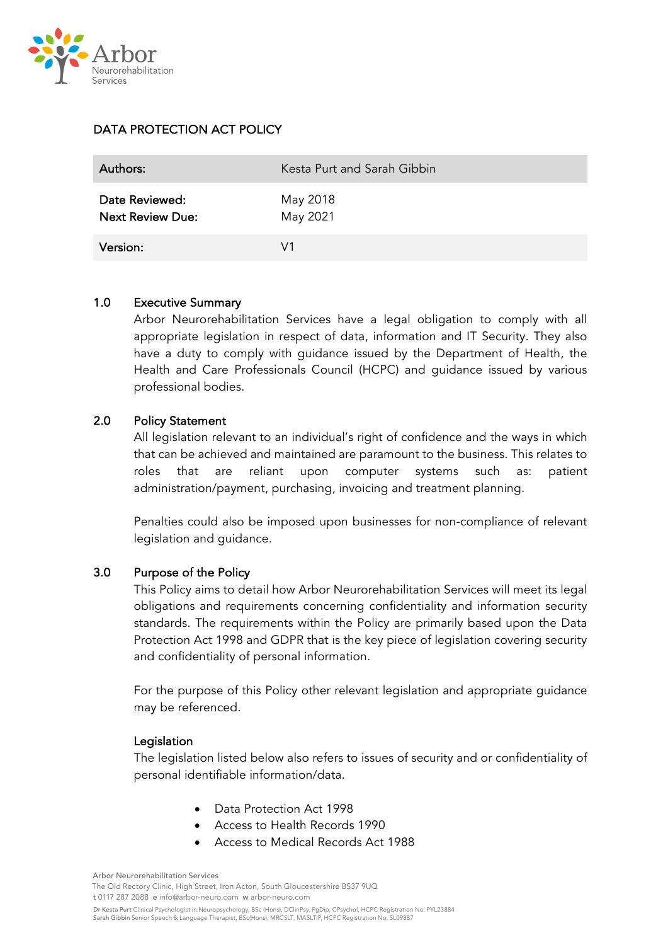

# DATA PROTECTION ACT POLICY

| Authors:                                  | Kesta Purt and Sarah Gibbin |
|-------------------------------------------|-----------------------------|
| Date Reviewed:<br><b>Next Review Due:</b> | May 2018<br>May 2021        |
| Version:                                  | V1                          |

### 1.0 Executive Summary

Arbor Neurorehabilitation Services have a legal obligation to comply with all appropriate legislation in respect of data, information and IT Security. They also have a duty to comply with guidance issued by the Department of Health, the Health and Care Professionals Council (HCPC) and guidance issued by various professional bodies.

### 2.0 Policy Statement

All legislation relevant to an individual's right of confidence and the ways in which that can be achieved and maintained are paramount to the business. This relates to roles that are reliant upon computer systems such as: patient administration/payment, purchasing, invoicing and treatment planning.

Penalties could also be imposed upon businesses for non-compliance of relevant legislation and guidance.

### 3.0 Purpose of the Policy

This Policy aims to detail how Arbor Neurorehabilitation Services will meet its legal obligations and requirements concerning confidentiality and information security standards. The requirements within the Policy are primarily based upon the Data Protection Act 1998 and GDPR that is the key piece of legislation covering security and confidentiality of personal information.

For the purpose of this Policy other relevant legislation and appropriate guidance may be referenced.

### Legislation

The legislation listed below also refers to issues of security and or confidentiality of personal identifiable information/data.

- Data Protection Act 1998
- Access to Health Records 1990
- Access to Medical Records Act 1988

Arbor Neurorehabilitation Services

The Old Rectory Clinic, High Street, Iron Acton, South Gloucestershire BS37 9UQ t 0117 287 2088 e info@arbor-neuro.com w arbor-neuro.com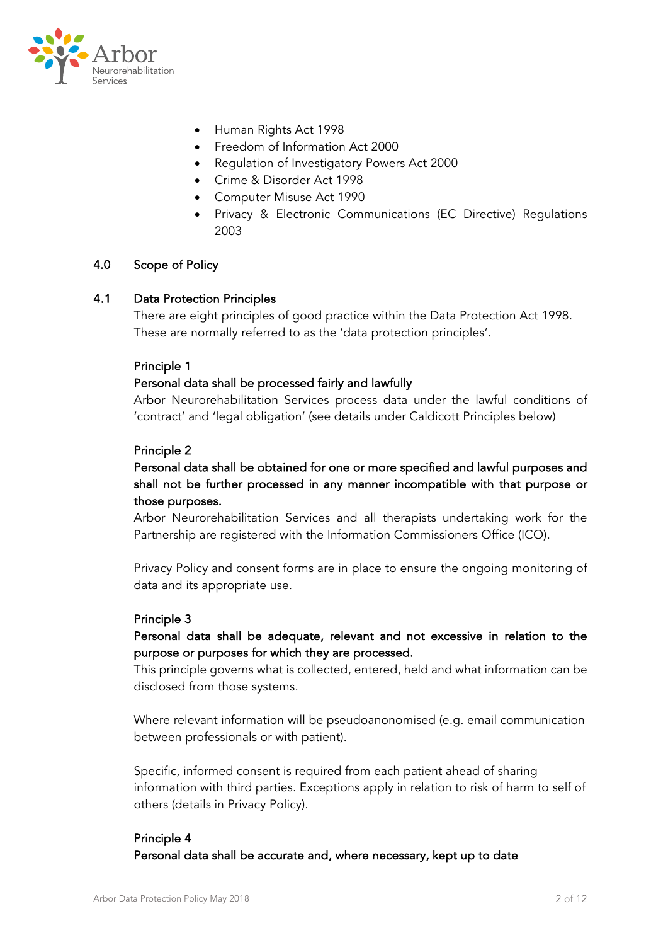

- Human Rights Act 1998
- Freedom of Information Act 2000
- Regulation of Investigatory Powers Act 2000
- Crime & Disorder Act 1998
- Computer Misuse Act 1990
- Privacy & Electronic Communications (EC Directive) Regulations 2003

### 4.0 Scope of Policy

### 4.1 Data Protection Principles

There are eight principles of good practice within the Data Protection Act 1998. These are normally referred to as the 'data protection principles'.

#### Principle 1

### Personal data shall be processed fairly and lawfully

Arbor Neurorehabilitation Services process data under the lawful conditions of 'contract' and 'legal obligation' (see details under Caldicott Principles below)

#### Principle 2

## Personal data shall be obtained for one or more specified and lawful purposes and shall not be further processed in any manner incompatible with that purpose or those purposes.

Arbor Neurorehabilitation Services and all therapists undertaking work for the Partnership are registered with the Information Commissioners Office (ICO).

Privacy Policy and consent forms are in place to ensure the ongoing monitoring of data and its appropriate use.

### Principle 3

## Personal data shall be adequate, relevant and not excessive in relation to the purpose or purposes for which they are processed.

This principle governs what is collected, entered, held and what information can be disclosed from those systems.

Where relevant information will be pseudoanonomised (e.g. email communication between professionals or with patient).

Specific, informed consent is required from each patient ahead of sharing information with third parties. Exceptions apply in relation to risk of harm to self of others (details in Privacy Policy).

## Principle 4 Personal data shall be accurate and, where necessary, kept up to date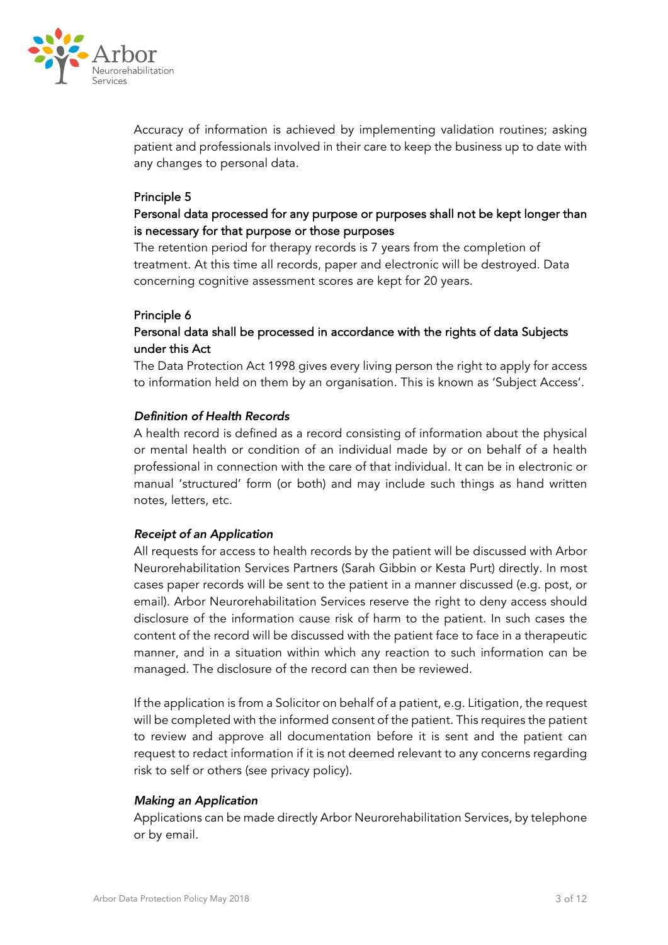

Accuracy of information is achieved by implementing validation routines; asking patient and professionals involved in their care to keep the business up to date with any changes to personal data.

### Principle 5

## Personal data processed for any purpose or purposes shall not be kept longer than is necessary for that purpose or those purposes

The retention period for therapy records is 7 years from the completion of treatment. At this time all records, paper and electronic will be destroyed. Data concerning cognitive assessment scores are kept for 20 years.

### Principle 6

## Personal data shall be processed in accordance with the rights of data Subjects under this Act

The Data Protection Act 1998 gives every living person the right to apply for access to information held on them by an organisation. This is known as 'Subject Access'.

### *Definition of Health Records*

A health record is defined as a record consisting of information about the physical or mental health or condition of an individual made by or on behalf of a health professional in connection with the care of that individual. It can be in electronic or manual 'structured' form (or both) and may include such things as hand written notes, letters, etc.

### *Receipt of an Application*

All requests for access to health records by the patient will be discussed with Arbor Neurorehabilitation Services Partners (Sarah Gibbin or Kesta Purt) directly. In most cases paper records will be sent to the patient in a manner discussed (e.g. post, or email). Arbor Neurorehabilitation Services reserve the right to deny access should disclosure of the information cause risk of harm to the patient. In such cases the content of the record will be discussed with the patient face to face in a therapeutic manner, and in a situation within which any reaction to such information can be managed. The disclosure of the record can then be reviewed.

If the application is from a Solicitor on behalf of a patient, e.g. Litigation, the request will be completed with the informed consent of the patient. This requires the patient to review and approve all documentation before it is sent and the patient can request to redact information if it is not deemed relevant to any concerns regarding risk to self or others (see privacy policy).

### *Making an Application*

Applications can be made directly Arbor Neurorehabilitation Services, by telephone or by email.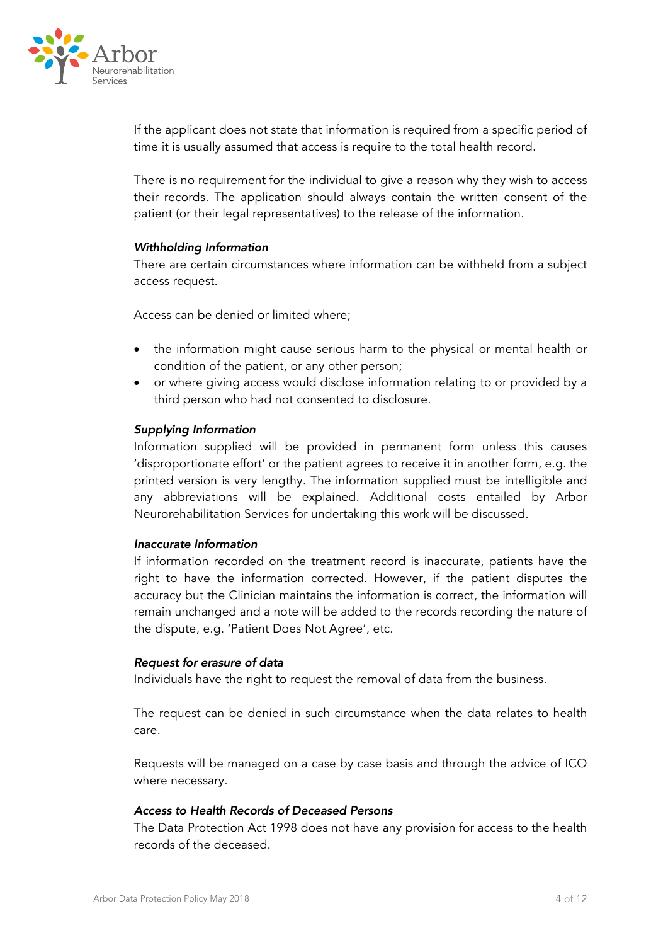

If the applicant does not state that information is required from a specific period of time it is usually assumed that access is require to the total health record.

There is no requirement for the individual to give a reason why they wish to access their records. The application should always contain the written consent of the patient (or their legal representatives) to the release of the information.

#### *Withholding Information*

There are certain circumstances where information can be withheld from a subject access request.

Access can be denied or limited where;

- the information might cause serious harm to the physical or mental health or condition of the patient, or any other person;
- or where giving access would disclose information relating to or provided by a third person who had not consented to disclosure.

### *Supplying Information*

Information supplied will be provided in permanent form unless this causes 'disproportionate effort' or the patient agrees to receive it in another form, e.g. the printed version is very lengthy. The information supplied must be intelligible and any abbreviations will be explained. Additional costs entailed by Arbor Neurorehabilitation Services for undertaking this work will be discussed.

#### *Inaccurate Information*

If information recorded on the treatment record is inaccurate, patients have the right to have the information corrected. However, if the patient disputes the accuracy but the Clinician maintains the information is correct, the information will remain unchanged and a note will be added to the records recording the nature of the dispute, e.g. 'Patient Does Not Agree', etc.

#### *Request for erasure of data*

Individuals have the right to request the removal of data from the business.

The request can be denied in such circumstance when the data relates to health care.

Requests will be managed on a case by case basis and through the advice of ICO where necessary.

### *Access to Health Records of Deceased Persons*

The Data Protection Act 1998 does not have any provision for access to the health records of the deceased.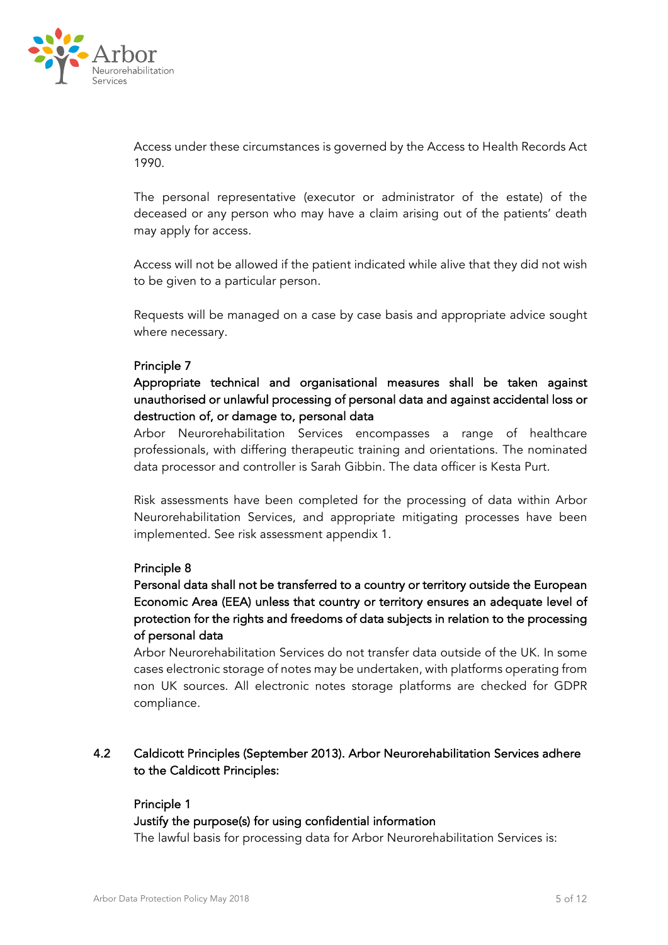

Access under these circumstances is governed by the Access to Health Records Act 1990.

The personal representative (executor or administrator of the estate) of the deceased or any person who may have a claim arising out of the patients' death may apply for access.

Access will not be allowed if the patient indicated while alive that they did not wish to be given to a particular person.

Requests will be managed on a case by case basis and appropriate advice sought where necessary.

### Principle 7

# Appropriate technical and organisational measures shall be taken against unauthorised or unlawful processing of personal data and against accidental loss or destruction of, or damage to, personal data

Arbor Neurorehabilitation Services encompasses a range of healthcare professionals, with differing therapeutic training and orientations. The nominated data processor and controller is Sarah Gibbin. The data officer is Kesta Purt.

Risk assessments have been completed for the processing of data within Arbor Neurorehabilitation Services, and appropriate mitigating processes have been implemented. See risk assessment appendix 1.

### Principle 8

# Personal data shall not be transferred to a country or territory outside the European Economic Area (EEA) unless that country or territory ensures an adequate level of protection for the rights and freedoms of data subjects in relation to the processing of personal data

Arbor Neurorehabilitation Services do not transfer data outside of the UK. In some cases electronic storage of notes may be undertaken, with platforms operating from non UK sources. All electronic notes storage platforms are checked for GDPR compliance.

## 4.2 Caldicott Principles (September 2013). Arbor Neurorehabilitation Services adhere to the Caldicott Principles:

### Principle 1

### Justify the purpose(s) for using confidential information

The lawful basis for processing data for Arbor Neurorehabilitation Services is: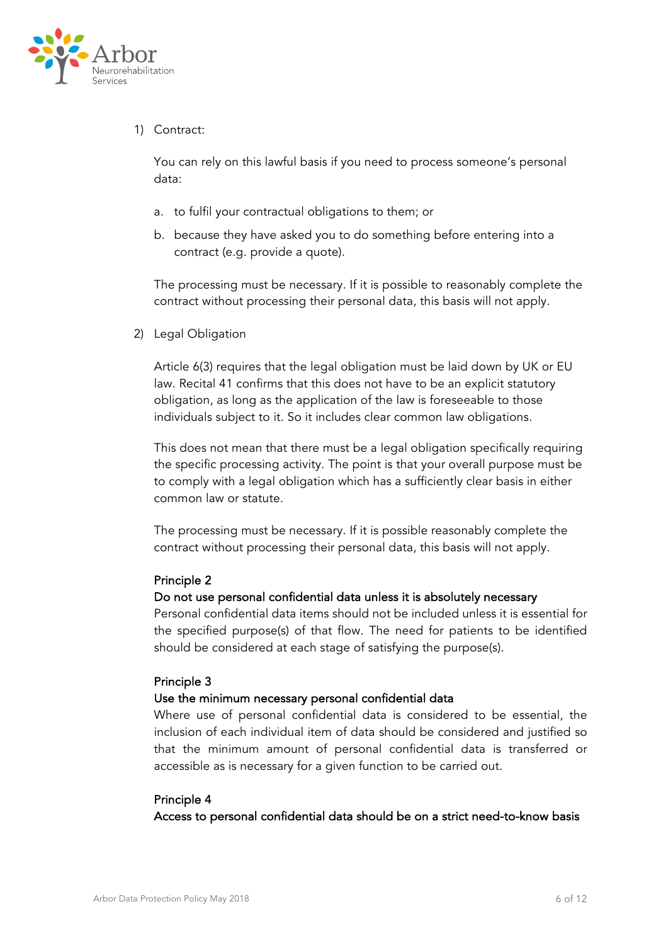

## 1) Contract:

You can rely on this lawful basis if you need to process someone's personal data:

- a. to fulfil your contractual obligations to them; or
- b. because they have asked you to do something before entering into a contract (e.g. provide a quote).

The processing must be necessary. If it is possible to reasonably complete the contract without processing their personal data, this basis will not apply.

2) Legal Obligation

Article 6(3) requires that the legal obligation must be laid down by UK or EU law. Recital 41 confirms that this does not have to be an explicit statutory obligation, as long as the application of the law is foreseeable to those individuals subject to it. So it includes clear common law obligations.

This does not mean that there must be a legal obligation specifically requiring the specific processing activity. The point is that your overall purpose must be to comply with a legal obligation which has a sufficiently clear basis in either common law or statute.

The processing must be necessary. If it is possible reasonably complete the contract without processing their personal data, this basis will not apply.

### Principle 2

### Do not use personal confidential data unless it is absolutely necessary

Personal confidential data items should not be included unless it is essential for the specified purpose(s) of that flow. The need for patients to be identified should be considered at each stage of satisfying the purpose(s).

### Principle 3

### Use the minimum necessary personal confidential data

Where use of personal confidential data is considered to be essential, the inclusion of each individual item of data should be considered and justified so that the minimum amount of personal confidential data is transferred or accessible as is necessary for a given function to be carried out.

### Principle 4

Access to personal confidential data should be on a strict need-to-know basis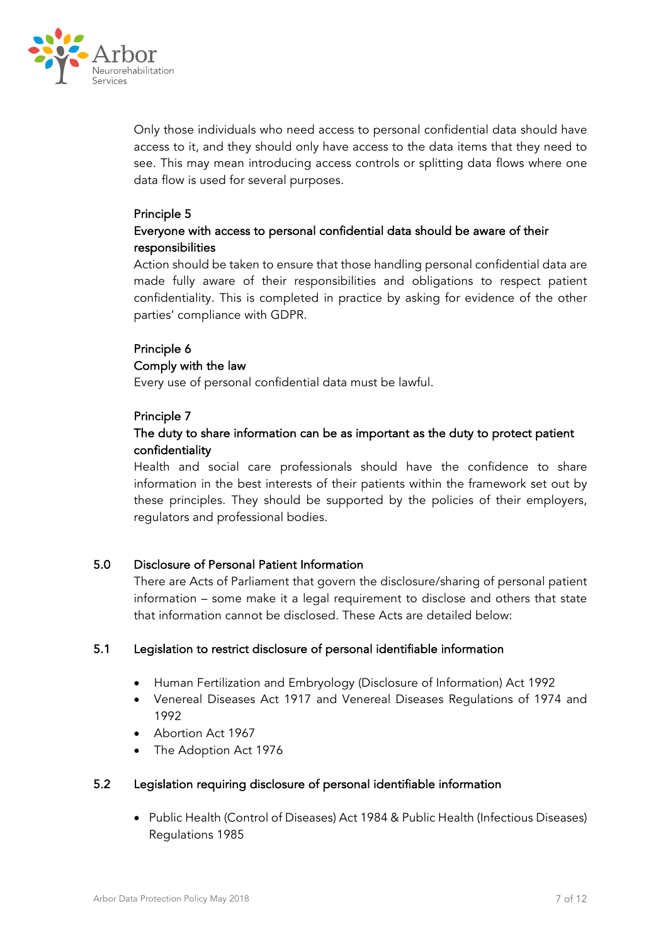

Only those individuals who need access to personal confidential data should have access to it, and they should only have access to the data items that they need to see. This may mean introducing access controls or splitting data flows where one data flow is used for several purposes.

## Principle 5

## Everyone with access to personal confidential data should be aware of their responsibilities

Action should be taken to ensure that those handling personal confidential data are made fully aware of their responsibilities and obligations to respect patient confidentiality. This is completed in practice by asking for evidence of the other parties' compliance with GDPR.

### Principle 6

### Comply with the law

Every use of personal confidential data must be lawful.

### Principle 7

# The duty to share information can be as important as the duty to protect patient confidentiality

Health and social care professionals should have the confidence to share information in the best interests of their patients within the framework set out by these principles. They should be supported by the policies of their employers, regulators and professional bodies.

## 5.0 Disclosure of Personal Patient Information

There are Acts of Parliament that govern the disclosure/sharing of personal patient information – some make it a legal requirement to disclose and others that state that information cannot be disclosed. These Acts are detailed below:

### 5.1 Legislation to restrict disclosure of personal identifiable information

- Human Fertilization and Embryology (Disclosure of Information) Act 1992
- Venereal Diseases Act 1917 and Venereal Diseases Regulations of 1974 and 1992
- Abortion Act 1967
- The Adoption Act 1976

## 5.2 Legislation requiring disclosure of personal identifiable information

• Public Health (Control of Diseases) Act 1984 & Public Health (Infectious Diseases) Regulations 1985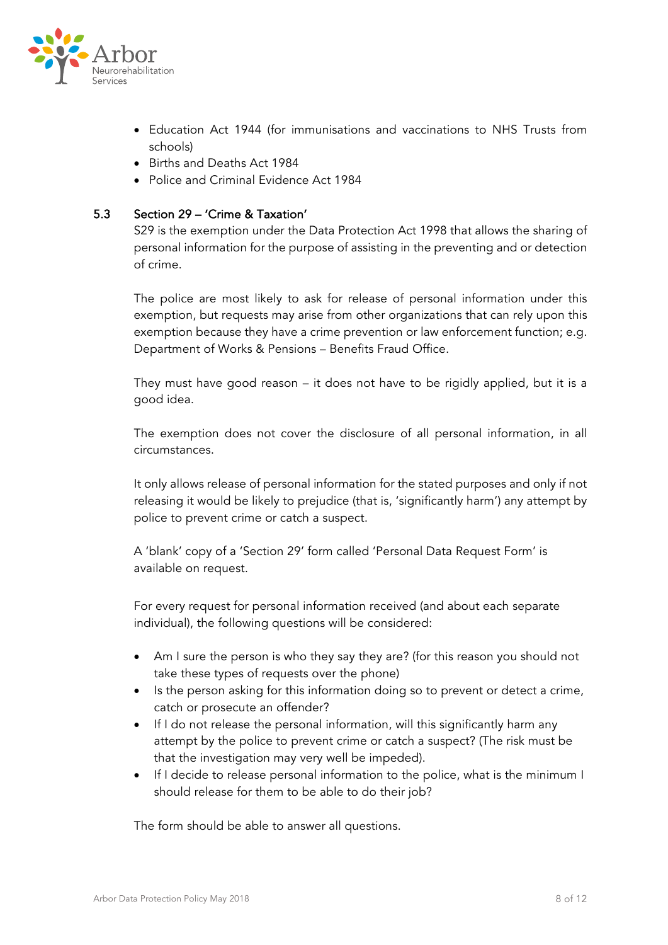

- Education Act 1944 (for immunisations and vaccinations to NHS Trusts from schools)
- Births and Deaths Act 1984
- Police and Criminal Evidence Act 1984

## 5.3 Section 29 – 'Crime & Taxation'

S29 is the exemption under the Data Protection Act 1998 that allows the sharing of personal information for the purpose of assisting in the preventing and or detection of crime.

The police are most likely to ask for release of personal information under this exemption, but requests may arise from other organizations that can rely upon this exemption because they have a crime prevention or law enforcement function; e.g. Department of Works & Pensions – Benefits Fraud Office.

They must have good reason – it does not have to be rigidly applied, but it is a good idea.

The exemption does not cover the disclosure of all personal information, in all circumstances.

It only allows release of personal information for the stated purposes and only if not releasing it would be likely to prejudice (that is, 'significantly harm') any attempt by police to prevent crime or catch a suspect.

A 'blank' copy of a 'Section 29' form called 'Personal Data Request Form' is available on request.

For every request for personal information received (and about each separate individual), the following questions will be considered:

- Am I sure the person is who they say they are? (for this reason you should not take these types of requests over the phone)
- Is the person asking for this information doing so to prevent or detect a crime, catch or prosecute an offender?
- If I do not release the personal information, will this significantly harm any attempt by the police to prevent crime or catch a suspect? (The risk must be that the investigation may very well be impeded).
- If I decide to release personal information to the police, what is the minimum I should release for them to be able to do their job?

The form should be able to answer all questions.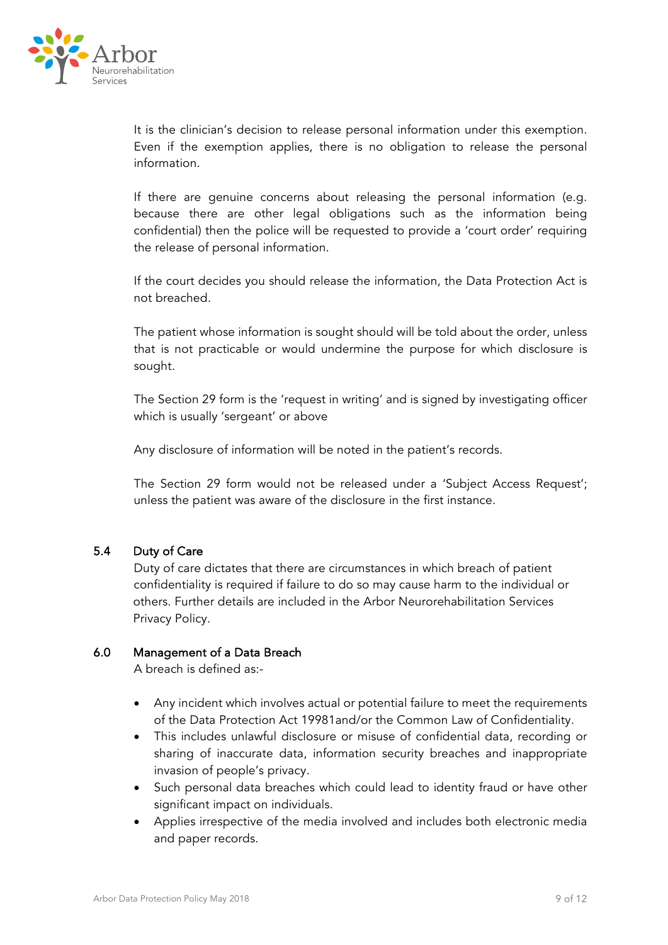

It is the clinician's decision to release personal information under this exemption. Even if the exemption applies, there is no obligation to release the personal information.

If there are genuine concerns about releasing the personal information (e.g. because there are other legal obligations such as the information being confidential) then the police will be requested to provide a 'court order' requiring the release of personal information.

If the court decides you should release the information, the Data Protection Act is not breached.

The patient whose information is sought should will be told about the order, unless that is not practicable or would undermine the purpose for which disclosure is sought.

The Section 29 form is the 'request in writing' and is signed by investigating officer which is usually 'sergeant' or above

Any disclosure of information will be noted in the patient's records.

The Section 29 form would not be released under a 'Subject Access Request'; unless the patient was aware of the disclosure in the first instance.

### 5.4 Duty of Care

 Duty of care dictates that there are circumstances in which breach of patient confidentiality is required if failure to do so may cause harm to the individual or others. Further details are included in the Arbor Neurorehabilitation Services Privacy Policy.

### 6.0 Management of a Data Breach

A breach is defined as:-

- Any incident which involves actual or potential failure to meet the requirements of the Data Protection Act 19981and/or the Common Law of Confidentiality.
- This includes unlawful disclosure or misuse of confidential data, recording or sharing of inaccurate data, information security breaches and inappropriate invasion of people's privacy.
- Such personal data breaches which could lead to identity fraud or have other significant impact on individuals.
- Applies irrespective of the media involved and includes both electronic media and paper records.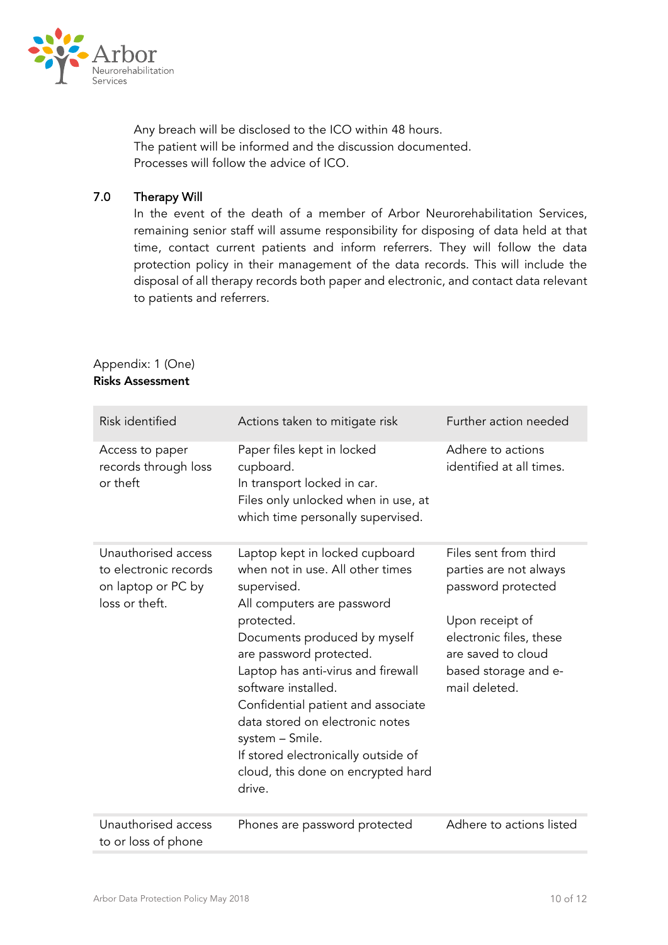

Any breach will be disclosed to the ICO within 48 hours. The patient will be informed and the discussion documented. Processes will follow the advice of ICO.

## 7.0 Therapy Will

In the event of the death of a member of Arbor Neurorehabilitation Services, remaining senior staff will assume responsibility for disposing of data held at that time, contact current patients and inform referrers. They will follow the data protection policy in their management of the data records. This will include the disposal of all therapy records both paper and electronic, and contact data relevant to patients and referrers.

| Risk identified                                                                      | Actions taken to mitigate risk                                                                                                                                                                                                                                                                                                                                                                                                           | Further action needed                                                                                                                                                              |
|--------------------------------------------------------------------------------------|------------------------------------------------------------------------------------------------------------------------------------------------------------------------------------------------------------------------------------------------------------------------------------------------------------------------------------------------------------------------------------------------------------------------------------------|------------------------------------------------------------------------------------------------------------------------------------------------------------------------------------|
| Access to paper<br>records through loss<br>or theft                                  | Paper files kept in locked<br>cupboard.<br>In transport locked in car.<br>Files only unlocked when in use, at<br>which time personally supervised.                                                                                                                                                                                                                                                                                       | Adhere to actions<br>identified at all times.                                                                                                                                      |
| Unauthorised access<br>to electronic records<br>on laptop or PC by<br>loss or theft. | Laptop kept in locked cupboard<br>when not in use. All other times<br>supervised.<br>All computers are password<br>protected.<br>Documents produced by myself<br>are password protected.<br>Laptop has anti-virus and firewall<br>software installed.<br>Confidential patient and associate<br>data stored on electronic notes<br>system - Smile.<br>If stored electronically outside of<br>cloud, this done on encrypted hard<br>drive. | Files sent from third<br>parties are not always<br>password protected<br>Upon receipt of<br>electronic files, these<br>are saved to cloud<br>based storage and e-<br>mail deleted. |
| Unauthorised access<br>to or loss of phone                                           | Phones are password protected                                                                                                                                                                                                                                                                                                                                                                                                            | Adhere to actions listed                                                                                                                                                           |

# Appendix: 1 (One) Risks Assessment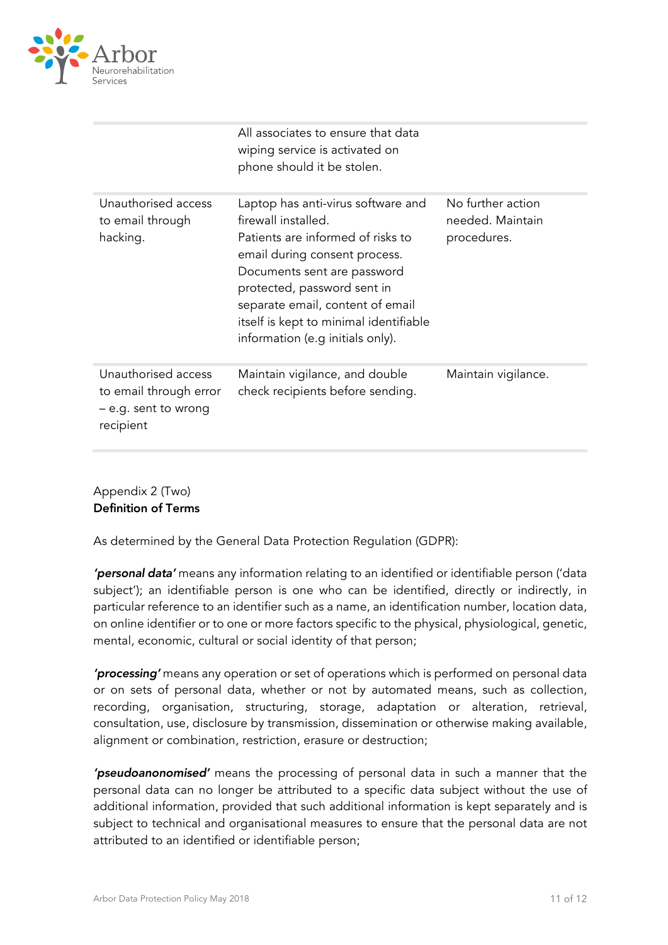

|                                                                                    | All associates to ensure that data<br>wiping service is activated on<br>phone should it be stolen.                                                                                                                                                                                                              |                                                      |
|------------------------------------------------------------------------------------|-----------------------------------------------------------------------------------------------------------------------------------------------------------------------------------------------------------------------------------------------------------------------------------------------------------------|------------------------------------------------------|
| Unauthorised access<br>to email through<br>hacking.                                | Laptop has anti-virus software and<br>firewall installed.<br>Patients are informed of risks to<br>email during consent process.<br>Documents sent are password<br>protected, password sent in<br>separate email, content of email<br>itself is kept to minimal identifiable<br>information (e.g initials only). | No further action<br>needed. Maintain<br>procedures. |
| Unauthorised access<br>to email through error<br>- e.g. sent to wrong<br>recipient | Maintain vigilance, and double<br>check recipients before sending.                                                                                                                                                                                                                                              | Maintain vigilance.                                  |

Appendix 2 (Two) Definition of Terms

As determined by the General Data Protection Regulation (GDPR):

*'personal data'* means any information relating to an identified or identifiable person ('data subject'); an identifiable person is one who can be identified, directly or indirectly, in particular reference to an identifier such as a name, an identification number, location data, on online identifier or to one or more factors specific to the physical, physiological, genetic, mental, economic, cultural or social identity of that person;

*'processing'* means any operation or set of operations which is performed on personal data or on sets of personal data, whether or not by automated means, such as collection, recording, organisation, structuring, storage, adaptation or alteration, retrieval, consultation, use, disclosure by transmission, dissemination or otherwise making available, alignment or combination, restriction, erasure or destruction;

*'pseudoanonomised'* means the processing of personal data in such a manner that the personal data can no longer be attributed to a specific data subject without the use of additional information, provided that such additional information is kept separately and is subject to technical and organisational measures to ensure that the personal data are not attributed to an identified or identifiable person;